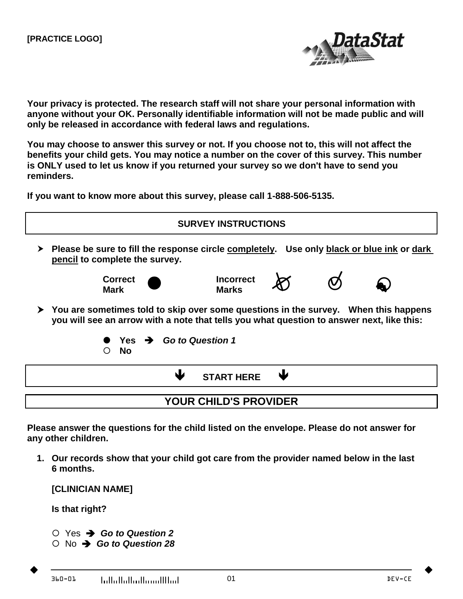

**Your privacy is protected. The research staff will not share your personal information with anyone without your OK. Personally identifiable information will not be made public and will only be released in accordance with federal laws and regulations.**

**You may choose to answer this survey or not. If you choose not to, this will not affect the benefits your child gets. You may notice a number on the cover of this survey. This number is ONLY used to let us know if you returned your survey so we don't have to send you reminders.**

**If you want to know more about this survey, please call 1-888-506-5135.**



**Please answer the questions for the child listed on the envelope. Please do not answer for any other children.**

**1. Our records show that your child got care from the provider named below in the last 6 months.**

**[CLINICIAN NAME]**

**Is that right?**

- Yes *Go to Question 2*
- No *Go to Question 28*

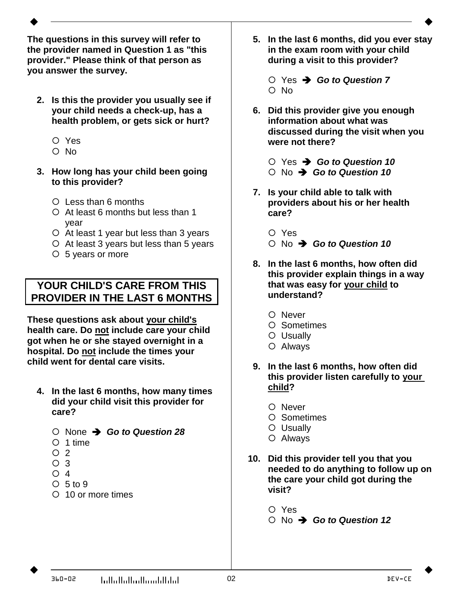**The questions in this survey will refer to the provider named in Question 1 as "this provider." Please think of that person as you answer the survey.**

- **2. Is this the provider you usually see if your child needs a check-up, has a health problem, or gets sick or hurt?**
	- Yes
	- O No
- **3. How long has your child been going to this provider?**
	- Less than 6 months
	- $O$  At least 6 months but less than 1 year
	- At least 1 year but less than 3 years
	- At least 3 years but less than 5 years
	- 5 years or more

## **YOUR CHILD'S CARE FROM THIS PROVIDER IN THE LAST 6 MONTHS**

**These questions ask about your child's health care. Do not include care your child got when he or she stayed overnight in a hospital. Do not include the times your child went for dental care visits.**

- **4. In the last 6 months, how many times did your child visit this provider for care?**
	- None *Go to Question 28*
	- O 1 time
	- $O<sub>2</sub>$
	- O 3
	- $\bigcirc$  4
	- $O<sub>5</sub>$  to 9
	- 10 or more times
- **5. In the last 6 months, did you ever stay in the exam room with your child during a visit to this provider?**
	- Yes *Go to Question 7*   $O$  No
- **6. Did this provider give you enough information about what was discussed during the visit when you were not there?**
	- Yes *Go to Question 10*
	- No *Go to Question 10*
- **7. Is your child able to talk with providers about his or her health care?**
	- Yes
	- No *Go to Question 10*
- **8. In the last 6 months, how often did this provider explain things in a way that was easy for your child to understand?**
	- O Never
	- O Sometimes
	- Usually
	- Always
- **9. In the last 6 months, how often did this provider listen carefully to your child?**
	- O Never
	- Sometimes
	- O Usually
	- Always
- **10. Did this provider tell you that you needed to do anything to follow up on the care your child got during the visit?**
	- O Yes
	- No *Go to Question 12*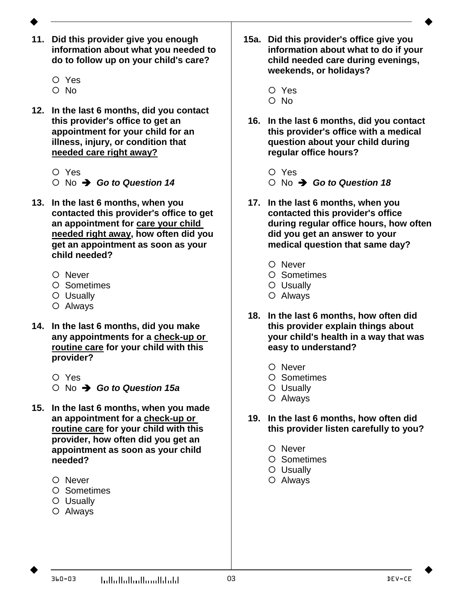- 
- **11. Did this provider give you enough information about what you needed to do to follow up on your child's care?**
	- Yes
	- O No
- **12. In the last 6 months, did you contact this provider's office to get an appointment for your child for an illness, injury, or condition that needed care right away?**
	- Yes
	- No *Go to Question 14*
- **13. In the last 6 months, when you contacted this provider's office to get an appointment for care your child needed right away, how often did you get an appointment as soon as your child needed?**
	- O Never
	- O Sometimes
	- Usually
	- Always
- **14. In the last 6 months, did you make any appointments for a check-up or routine care for your child with this provider?**
	- O Yes
	- No *Go to Question 15a*
- **15. In the last 6 months, when you made an appointment for a check-up or routine care for your child with this provider, how often did you get an appointment as soon as your child needed?**
	- O Never
	- O Sometimes
	- Usually
	- Always
- **15a. Did this provider's office give you information about what to do if your child needed care during evenings, weekends, or holidays?**
	- Yes
	- O No
- **16. In the last 6 months, did you contact this provider's office with a medical question about your child during regular office hours?**
	- O Yes
	- No *Go to Question 18*
- **17. In the last 6 months, when you contacted this provider's office during regular office hours, how often did you get an answer to your medical question that same day?**
	- O Never
	- O Sometimes
	- Usually
	- Always
- **18. In the last 6 months, how often did this provider explain things about your child's health in a way that was easy to understand?**
	- O Never
	- Sometimes
	- Usually
	- Always
- **19. In the last 6 months, how often did this provider listen carefully to you?**
	- O Never
	- O Sometimes
	- Usually
	- Always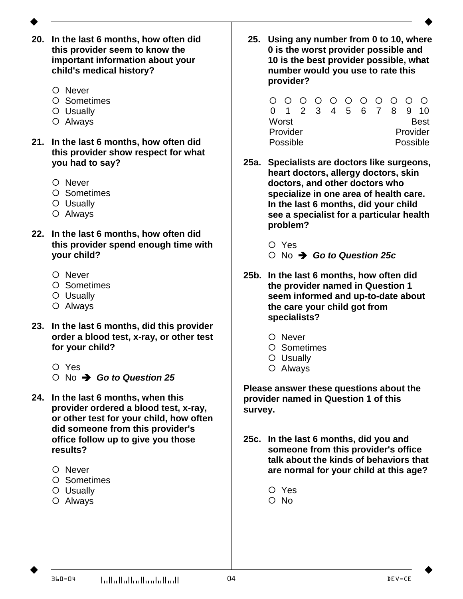- 
- **20. In the last 6 months, how often did this provider seem to know the important information about your child's medical history?**
	- O Never
	- O Sometimes
	- Usually
	- Always
- **21. In the last 6 months, how often did this provider show respect for what you had to say?**
	- O Never
	- O Sometimes
	- O Usually
	- Always
- **22. In the last 6 months, how often did this provider spend enough time with your child?**
	- O Never
	- O Sometimes
	- Usually
	- Always
- **23. In the last 6 months, did this provider order a blood test, x-ray, or other test for your child?**
	- Yes
	- No *Go to Question 25*
- **24. In the last 6 months, when this provider ordered a blood test, x-ray, or other test for your child, how often did someone from this provider's office follow up to give you those results?**
	- O Never
	- O Sometimes
	- Usually
	- Always

**25. Using any number from 0 to 10, where 0 is the worst provider possible and 10 is the best provider possible, what number would you use to rate this provider?**

|          |  |  |  |  | 0 0 0 0 0 0 0 0 0 0    |  |  |             |  |  |
|----------|--|--|--|--|------------------------|--|--|-------------|--|--|
|          |  |  |  |  | 0 1 2 3 4 5 6 7 8 9 10 |  |  |             |  |  |
| Worst    |  |  |  |  |                        |  |  | <b>Best</b> |  |  |
| Provider |  |  |  |  |                        |  |  | Provider    |  |  |
| Possible |  |  |  |  |                        |  |  | Possible    |  |  |

- **25a. Specialists are doctors like surgeons, heart doctors, allergy doctors, skin doctors, and other doctors who specialize in one area of health care. In the last 6 months, did your child see a specialist for a particular health problem?**
	- Yes
	- No *Go to Question 25c*
- **25b. In the last 6 months, how often did the provider named in Question 1 seem informed and up-to-date about the care your child got from specialists?**
	- O Never
	- Sometimes
	- Usually
	- Always

**Please answer these questions about the provider named in Question 1 of this survey.**

- **25c. In the last 6 months, did you and someone from this provider's office talk about the kinds of behaviors that are normal for your child at this age?**
	- Yes  $O$  No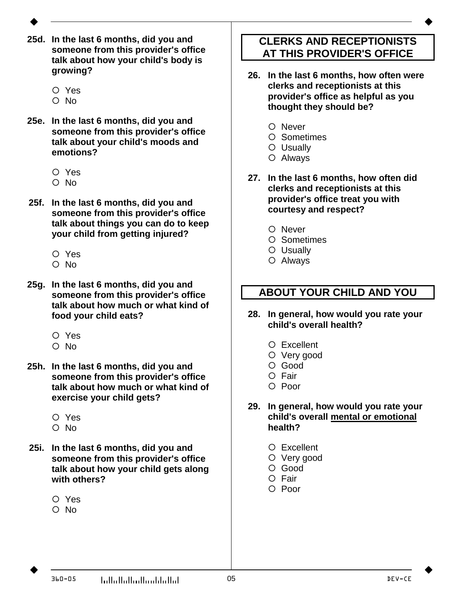- 
- **25d. In the last 6 months, did you and someone from this provider's office talk about how your child's body is growing?**
	- Yes
	- O No
- **25e. In the last 6 months, did you and someone from this provider's office talk about your child's moods and emotions?**
	- Yes
	- O No
- **25f. In the last 6 months, did you and someone from this provider's office talk about things you can do to keep your child from getting injured?**
	- Yes
	- O No
- **25g. In the last 6 months, did you and someone from this provider's office talk about how much or what kind of food your child eats?**
	- Yes
	- O No
- **25h. In the last 6 months, did you and someone from this provider's office talk about how much or what kind of exercise your child gets?**
	- Yes
	- O No
- **25i. In the last 6 months, did you and someone from this provider's office talk about how your child gets along with others?**
	- Yes
	- $\cap$  No

## **CLERKS AND RECEPTIONISTS AT THIS PROVIDER'S OFFICE**

- **26. In the last 6 months, how often were clerks and receptionists at this provider's office as helpful as you thought they should be?**
	- O Never
	- O Sometimes
	- O Usually
	- Always
- **27. In the last 6 months, how often did clerks and receptionists at this provider's office treat you with courtesy and respect?**
	- O Never
	- O Sometimes
	- O Usually
	- Always

## **ABOUT YOUR CHILD AND YOU**

- **28. In general, how would you rate your child's overall health?**
	- Excellent
	- O Very good
	- Good
	- O Fair
	- O Poor
- **29. In general, how would you rate your child's overall mental or emotional health?**
	- Excellent
	- O Very good
	- O Good
	- $O$  Fair
	- O Poor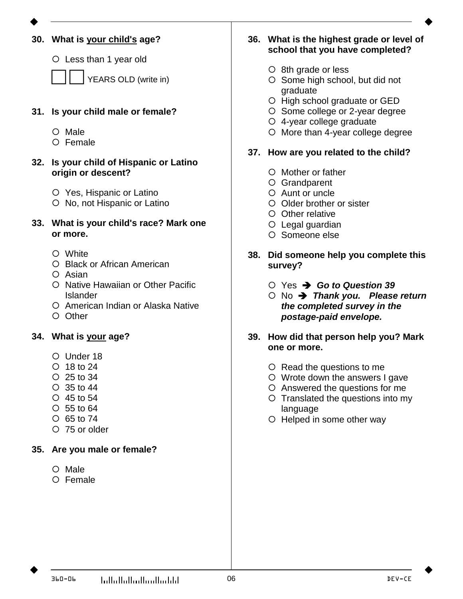

**33. What is your child's race? Mark one or more.**

**32. Is your child of Hispanic or Latino** 

 Yes, Hispanic or Latino O No, not Hispanic or Latino

White

O Male Female

Black or African American

**30. What is your child's age?**

Less than 1 year old

**31. Is your child male or female?**

**origin or descent?**

YEARS OLD (write in)

- Asian
- O Native Hawaiian or Other Pacific Islander
- O American Indian or Alaska Native
- O Other
- **36. What is the highest grade or level of school that you have completed?**
	- O 8th grade or less
	- O Some high school, but did not graduate
	- O High school graduate or GED
	- O Some college or 2-year degree
	- 4-year college graduate
	- O More than 4-year college degree

## **37. How are you related to the child?**

- Mother or father
- Grandparent
- Aunt or uncle
- Older brother or sister
- O Other relative
- Legal guardian
- O Someone else
- **38. Did someone help you complete this survey?**
	- Yes *Go to Question 39*
	- No *Thank you. Please return the completed survey in the postage-paid envelope.*
- **39. How did that person help you? Mark one or more.**
	- O Read the questions to me
	- Wrote down the answers I gave
	- Answered the questions for me
	- O Translated the questions into my language
	- O Helped in some other way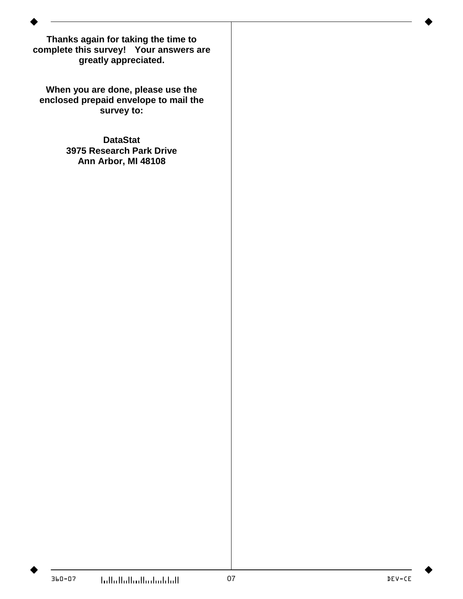**Thanks again for taking the time to complete this survey! Your answers are greatly appreciated.**

**When you are done, please use the enclosed prepaid envelope to mail the survey to:**

> **DataStat 3975 Research Park Drive Ann Arbor, MI 48108**